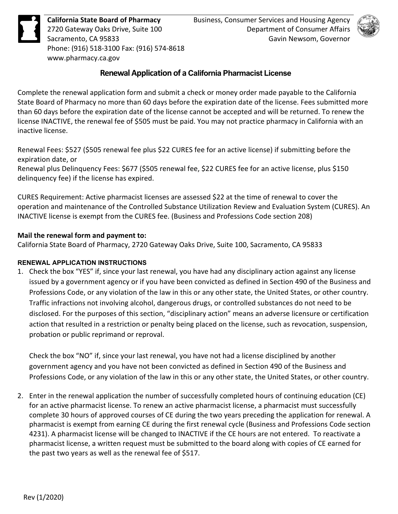

**California State Board of Pharmacy**  2720 Gateway Oaks Drive, Suite 100 Sacramento, CA 95833 Phone: (916) 518-3100 Fax: (916) 574-8618 <www.pharmacy.ca.gov>

## **Renewal Application of a California Pharmacist License**

 Complete the renewal application form and submit a check or money order made payable to the California than 60 days before the expiration date of the license cannot be accepted and will be returned. To renew the State Board of Pharmacy no more than 60 days before the expiration date of the license. Fees submitted more license INACTIVE, the renewal fee of \$505 must be paid. You may not practice pharmacy in California with an inactive license.

 Renewal Fees: \$527 (\$505 renewal fee plus \$22 CURES fee for an active license) if submitting before the expiration date, or

 Renewal plus Delinquency Fees: \$677 (\$505 renewal fee, \$22 CURES fee for an active license, plus \$150 delinquency fee) if the license has expired.

 CURES Requirement: Active pharmacist licenses are assessed \$22 at the time of renewal to cover the INACTIVE license is exempt from the CURES fee. (Business and Professions Code section 208) operation and maintenance of the Controlled Substance Utilization Review and Evaluation System (CURES). An

### **Mail the renewal form and payment to:**

California State Board of Pharmacy, 2720 Gateway Oaks Drive, Suite 100, Sacramento, CA 95833

## **RENEWAL APPLICATION INSTRUCTIONS**

 Professions Code, or any violation of the law in this or any other state, the United States, or other country. Traffic infractions not involving alcohol, dangerous drugs, or controlled substances do not need to be 1. Check the box "YES" if, since your last renewal, you have had any disciplinary action against any license issued by a government agency or if you have been convicted as defined in Section 490 of the Business and disclosed. For the purposes of this section, "disciplinary action" means an adverse licensure or certification action that resulted in a restriction or penalty being placed on the license, such as revocation, suspension, probation or public reprimand or reproval.

 government agency and you have not been convicted as defined in Section 490 of the Business and Check the box "NO" if, since your last renewal, you have not had a license disciplined by another Professions Code, or any violation of the law in this or any other state, the United States, or other country.

 for an active pharmacist license. To renew an active pharmacist license, a pharmacist must successfully complete 30 hours of approved courses of CE during the two years preceding the application for renewal. A 4231). A pharmacist license will be changed to INACTIVE if the CE hours are not entered. To reactivate a pharmacist license, a written request must be submitted to the board along with copies of CE earned for 2. Enter in the renewal application the number of successfully completed hours of continuing education (CE) pharmacist is exempt from earning CE during the first renewal cycle (Business and Professions Code section the past two years as well as the renewal fee of \$517.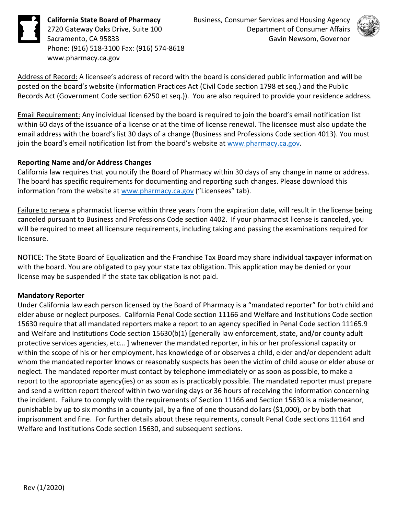**California State Board of Pharmacy**  2720 Gateway Oaks Drive, Suite 100 Sacramento, CA 95833 Phone: (916) 518-3100 Fax: (916) 574-8618 <www.pharmacy.ca.gov>



Address of Record: A licensee's address of record with the board is considered public information and will be posted on the board's website (Information Practices Act (Civil Code section 1798 et seq.) and the Public Records Act (Government Code section 6250 et seq.)). You are also required to provide your residence address.

 Email Requirement: Any individual licensed by the board is required to join the board's email notification list within 60 days of the issuance of a license or at the time of license renewal. The licensee must also update the join the board's email notification list from the board's website a[t www.pharmacy.ca.gov.](http://www.pharmacy.ca.gov/) email address with the board's list 30 days of a change (Business and Professions Code section 4013). You must

### **Reporting Name and/or Address Changes**

 California law requires that you notify the Board of Pharmacy within 30 days of any change in name or address. The board has specific requirements for documenting and reporting such changes. Please download this information from the website a[t www.pharmacy.ca.gov](http://www.pharmacy.ca.gov/) ("Licensees" tab).

Failure to renew a pharmacist license within three years from the expiration date, will result in the license being will be required to meet all licensure requirements, including taking and passing the examinations required for canceled pursuant to Business and Professions Code section 4402. If your pharmacist license is canceled, you licensure.

 NOTICE: The State Board of Equalization and the Franchise Tax Board may share individual taxpayer information with the board. You are obligated to pay your state tax obligation. This application may be denied or your license may be suspended if the state tax obligation is not paid.

#### **Mandatory Reporter**

 Under California law each person licensed by the Board of Pharmacy is a "mandated reporter" for both child and protective services agencies, etc… ] whenever the mandated reporter, in his or her professional capacity or within the scope of his or her employment, has knowledge of or observes a child, elder and/or dependent adult whom the mandated reporter knows or reasonably suspects has been the victim of child abuse or elder abuse or neglect. The mandated reporter must contact by telephone immediately or as soon as possible, to make a report to the appropriate agency(ies) or as soon as is practicably possible. The mandated reporter must prepare and send a written report thereof within two working days or 36 hours of receiving the information concerning the incident. Failure to comply with the requirements of Section 11166 and Section 15630 is a misdemeanor, punishable by up to six months in a county jail, by a fine of one thousand dollars (\$1,000), or by both that imprisonment and fine. For further details about these requirements, consult Penal Code sections 11164 and elder abuse or neglect purposes. California Penal Code section 11166 and Welfare and Institutions Code section 15630 require that all mandated reporters make a report to an agency specified in Penal Code section 11165.9 and Welfare and Institutions Code section 15630(b(1) [generally law enforcement, state, and/or county adult Welfare and Institutions Code section 15630, and subsequent sections.